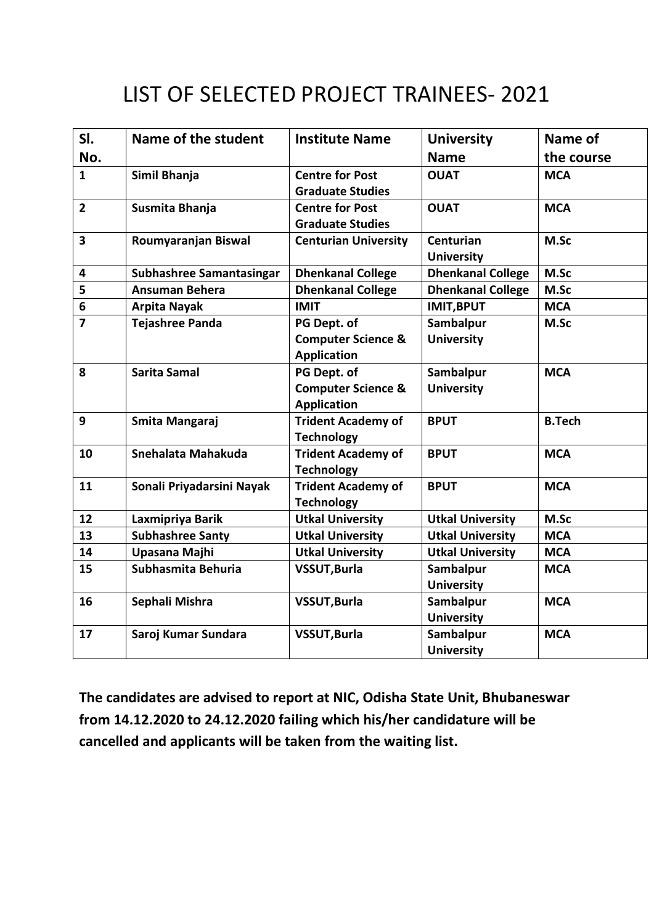## LIST OF SELECTED PROJECT TRAINEES- 2021

| SI.            | Name of the student       | <b>Institute Name</b>                                                                    | <b>University</b>              | Name of       |
|----------------|---------------------------|------------------------------------------------------------------------------------------|--------------------------------|---------------|
| No.            |                           |                                                                                          | <b>Name</b>                    | the course    |
| $\mathbf{1}$   | Simil Bhanja              | <b>Centre for Post</b><br><b>Graduate Studies</b>                                        | <b>OUAT</b>                    | <b>MCA</b>    |
| $\overline{2}$ | Susmita Bhanja            | <b>Centre for Post</b><br><b>Graduate Studies</b>                                        | <b>OUAT</b>                    | <b>MCA</b>    |
| 3              | Roumyaranjan Biswal       | <b>Centurian University</b>                                                              | Centurian<br><b>University</b> | M.Sc          |
| 4              | Subhashree Samantasingar  | <b>Dhenkanal College</b>                                                                 | <b>Dhenkanal College</b>       | M.Sc          |
| 5              | <b>Ansuman Behera</b>     | <b>Dhenkanal College</b>                                                                 | <b>Dhenkanal College</b>       | M.Sc          |
| 6              | <b>Arpita Nayak</b>       | <b>IMIT</b>                                                                              | <b>IMIT, BPUT</b>              | <b>MCA</b>    |
| $\overline{7}$ | <b>Tejashree Panda</b>    | PG Dept. of<br><b>Computer Science &amp;</b>                                             | Sambalpur<br><b>University</b> | M.Sc          |
| 8              | Sarita Samal              | <b>Application</b><br>PG Dept. of<br><b>Computer Science &amp;</b><br><b>Application</b> | Sambalpur<br><b>University</b> | <b>MCA</b>    |
| 9              | Smita Mangaraj            | <b>Trident Academy of</b><br><b>Technology</b>                                           | <b>BPUT</b>                    | <b>B.Tech</b> |
| 10             | Snehalata Mahakuda        | <b>Trident Academy of</b><br><b>Technology</b>                                           | <b>BPUT</b>                    | <b>MCA</b>    |
| 11             | Sonali Priyadarsini Nayak | <b>Trident Academy of</b><br><b>Technology</b>                                           | <b>BPUT</b>                    | <b>MCA</b>    |
| 12             | Laxmipriya Barik          | <b>Utkal University</b>                                                                  | <b>Utkal University</b>        | M.Sc          |
| 13             | <b>Subhashree Santy</b>   | <b>Utkal University</b>                                                                  | <b>Utkal University</b>        | <b>MCA</b>    |
| 14             | Upasana Majhi             | <b>Utkal University</b>                                                                  | <b>Utkal University</b>        | <b>MCA</b>    |
| 15             | Subhasmita Behuria        | <b>VSSUT, Burla</b>                                                                      | Sambalpur<br><b>University</b> | <b>MCA</b>    |
| 16             | Sephali Mishra            | <b>VSSUT, Burla</b>                                                                      | Sambalpur<br><b>University</b> | <b>MCA</b>    |
| 17             | Saroj Kumar Sundara       | <b>VSSUT, Burla</b>                                                                      | Sambalpur<br><b>University</b> | <b>MCA</b>    |

**The candidates are advised to report at NIC, Odisha State Unit, Bhubaneswar from 14.12.2020 to 24.12.2020 failing which his/her candidature will be cancelled and applicants will be taken from the waiting list.**